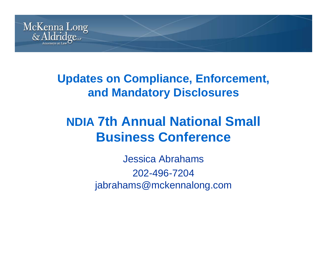

#### **Updates on Compliance, Enforcement, and Mandatory Disclosures**

### **NDIA 7th Annual National Small Business Conference**

Jessica Abrahams 202-496-7204jabrahams@mckennalong.com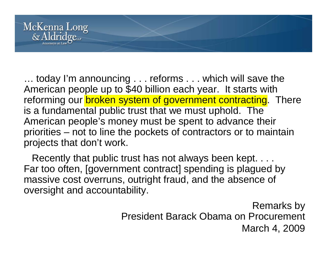

... today I'm announcing . . . reforms . . . which will save the American people up to \$40 billion each year. It starts with reforming our **broken system of government contracting**. There is a fundamental public trust that we must uphold. The American people's money must be spent to advance their priorities – not to line the pockets of contractors or to maintain projects that don't work.

Recently that public trust has not always been kept. . . . Far too often, [government contract] spending is plagued by massive cost overruns, outright fraud, and the absence of oversight and accountability.

> Remarks by President Barack Obama on Procurement March 4, 2009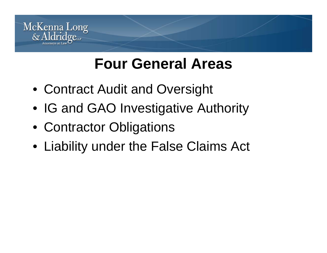

# **Four General Areas**

- Contract Audit and Oversight
- IG and GAO Investigative Authority
- Contractor Obligations
- Liability under the False Claims Act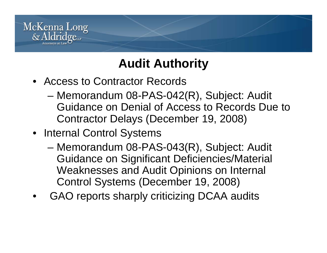

### **Audit Authority**

- Access to Contractor Records
	- – Memorandum 08-PAS-042(R), Subject: Audit Guidance on Denial of Access to Records Due to Contractor Delays (December 19, 2008)
- Internal Control Systems
	- – Memorandum 08-PAS-043(R), Subject: Audit Guidance on Significant Deficiencies/Material Weaknesses and Audit Opinions on Internal Control Systems (December 19, 2008)
- •GAO reports sharply criticizing DCAA audits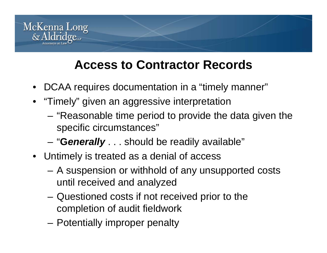

#### **Access to Contractor Records**

- DCAA requires documentation in a "timely manner"
- "Timely" given an aggressive interpretation
	- "Reasonable time period to provide the data given the specific circumstances"
	- $\sim$ ""**G***enerally* . . . should be readily available"
- Untimely is treated as a denial of access
	- A suspension or withhold of any unsupported costs until received and analyzed
	- – Questioned costs if not received prior to the completion of audit fieldwork
	- Potentially improper penalty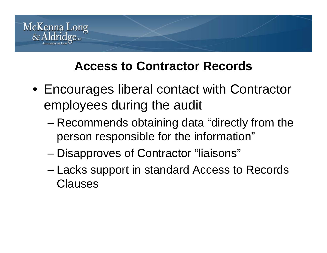

#### **Access to Contractor Records**

- Encourages liberal contact with Contractor employees during the audit
	- – Recommends obtaining data "directly from the person responsible for the information"
	- –Disapproves of Contractor "liaisons"
	- – Lacks support in standard Access to Records Clauses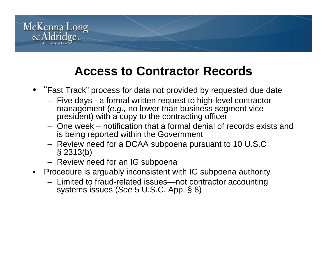

#### **Access to Contractor Records**

- "Fast Track" process for data not provided by requested due date
	- Five days a formal written request to high-level contractor management (*e.g.,* no lower than business segment vice president) with a copy to the contracting officer
	- One week notification that a formal denial of records exists and is being reported within the Government
	- $-$  Review need for a DCAA subpoena pursuant to 10 U.S.C § 2313(b)
	- Review need for an IG subpoena
- Procedure is arguably inconsistent with IG subpoena authority
	- Limited to fraud-related issues—not contractor accounting systems issues (*See* 5 U.S.C. App. § 8)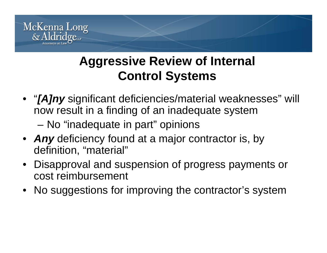

#### **Aggressive Review of Internal Control Systems**

- "*[A]ny* significant deficiencies/material weaknesses" will now result in a finding of an inadequate system
	- –No "inadequate in part" opinions
- *Any* deficiency found at <sup>a</sup> major contractor is, by definition, "material"
- • Disapproval and suspension of progress payments or cost reimbursement
- No suggestions for improving the contractor's system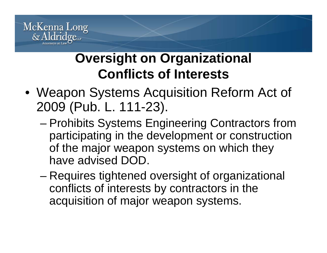

## **Oversight on Organizational Conflicts of Interests**

- Weapon Systems Acquisition Reform Act of 2009 (Pub. L. 111-23).
	- – Prohibits Systems Engineering Contractors from participating in the development or construction of the major weapon systems on which they have advised DOD.
	- –– Requires tightened oversight of organizational conflicts of interests by contractors in the acquisition of major weapon systems.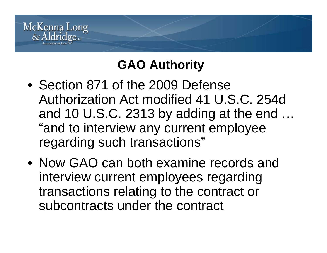

### **GAO Authority**

- Section 871 of the 2009 Defense Authorization Act modified 41 U.S.C. 254d and 10 U.S.C. 2313 by adding at the end  $\ldots$ "and to interview any current employee regarding such transactions"
- Now GAO can both examine records and interview current employees regarding transactions relating to the contract or subcontracts under the contract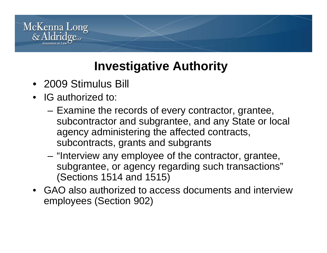

### **Investigative Authority**

- 2009 Stimulus Bill
- IG authorized to:
	- – $-$  Examine the records of every contractor, grantee, subcontractor and subgrantee, and any State or local agency administering the affected contracts, subcontracts, grants and subgrants
	- – "Interview any employee of the contractor, grantee, subgrantee, or agency regarding such transactions" (Sections 1514 and 1515)
- GAO also authorized to access documents and interview employees (Section 902)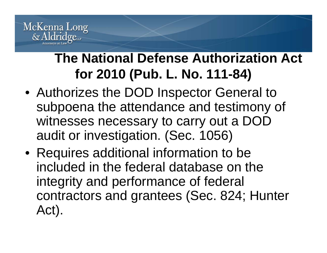

## **The National Defense Authorization Act for 2010 (Pub. L. No. 111-84)**

- Authorizes the DOD Inspector General to subpoena the attendance and testimony of witnesses necessary to carry out a DOD audit or investigation. (Sec. 1056)
- Requires additional information to be included in the federal database on the integrity and performance of federal contractors and grantees (Sec. 824; Hunter Act).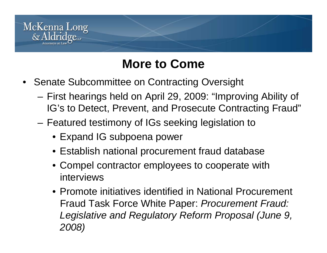

#### **More to Come**

- Senate Subcommittee on Contracting Oversight
	- First hearings held on April 29, 2009: "Improving Ability of IG's to Detect, Prevent, and Prosecute Contracting Fraud"
	- – Featured testimony of IGs seeking legislation to
		- Expand IG subpoena power
		- Establish national procurement fraud database
		- Compel contractor employees to cooperate with interviews
		- Promote initiatives identified in National Procurement Fraud Task Force White Paper: *Procurement Fraud: Legislative and Regulatory Reform Proposal (June 9, 2008)*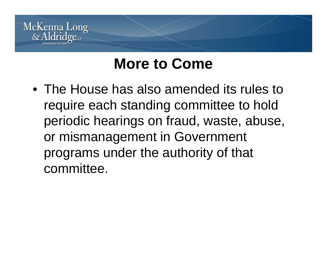

# **More to Come**

• The House has also amended its rules to require each standing committee to hold periodic hearings on fraud, waste, abuse, or mismanagement in Government programs under the authority of that committee.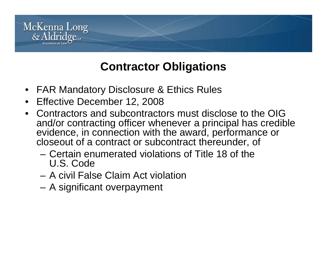

#### **Contractor Obligations**

- FAR Mandatory Disclosure & Ethics Rules
- $\bullet$ Effective December 12, 2008
- Contractors and subcontractors must disclose to the OIG and/or contracting officer whenever a principal has credible evidence, in connection with the award, performance or closeout of a contract or subcontract thereunder, of
	- Certain enumerated violations of Title 18 of the U.S. Code
	- A civil False Claim Act violation
	- A significant overpayment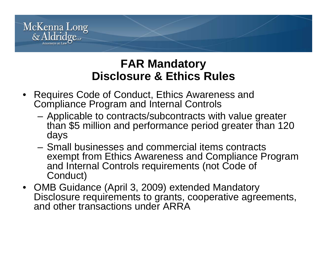

#### **FAR Mandatory Disclosure & Ethics Rules Ethics**

- Requires Code of Conduct, Ethics Awareness and Compliance Program and Internal Controls
	- Applicable to contracts/subcontracts with value greater than \$5 million and performance period greater than 120 days
	- Small businesses and commercial items contracts exempt from Ethics Awareness and Compliance Program and Internal Controls requirements (not Code of Conduct)
- OMB Guidance (April 3, 2009) extended Mandatory Disclosure requirements to grants, cooperative agreements, and other transactions under ARRA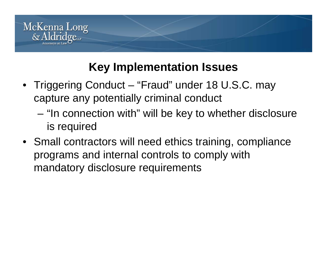

#### **Key Implementation Issues**

- Triggering Conduct "Fraud" under 18 U.S.C. may capture any potentially criminal conduct
	- "In connection with" will be key to whether disclosure is required
- Small contractors will need ethics training, compliance programs and internal controls to comply with mandatory disclosure requirements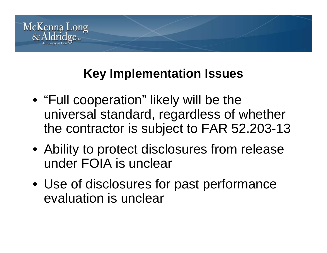

#### **Key p Im lementation Issues**

- "Full cooperation" likely will be the universal standard, regardless of whether the contractor is subject to FAR 52.203-13
- Ability to protect disclosures from release under FOIA is unclear
- Use of disclosures for past performance evaluation is unclear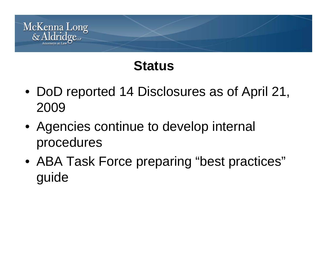

## **Status**

- DoD reported 14 Disclosures as of April 21, 2009
- Agencies continue to develop internal procedures
- ABA Task Force preparing "best practices" guide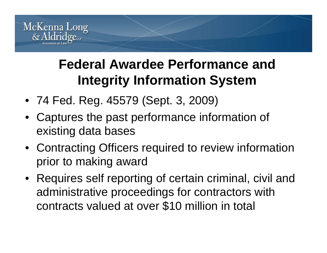

## **Federal Awardee Performance and Integrity Information System System**

- 74 Fed. Reg. 45579 (Sept. 3, 2009)
- Captures the past performance information of existing data bases
- Contracting Officers required to review information prior to making award
- Requires self reporting of certain criminal, civil and administrative proceedings for contractors with contracts valued at over \$10 million in total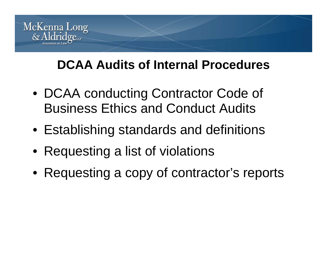

#### **DCAA Audits of Internal Procedures**

- DCAA conducting Contractor Code of Business Ethics and Conduct Audits
- Establishing standards and definitions
- Requesting a list of violations
- $\bullet\,$  Requesting a copy of contractor's reports